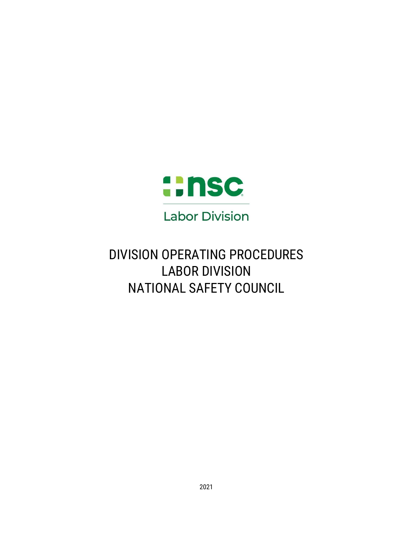

# DIVISION OPERATING PROCEDURES LABOR DIVISION NATIONAL SAFETY COUNCIL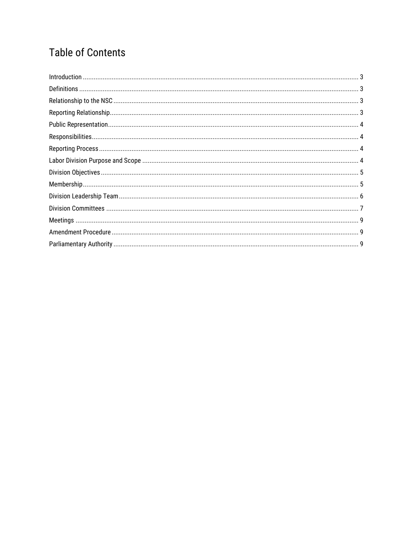## **Table of Contents**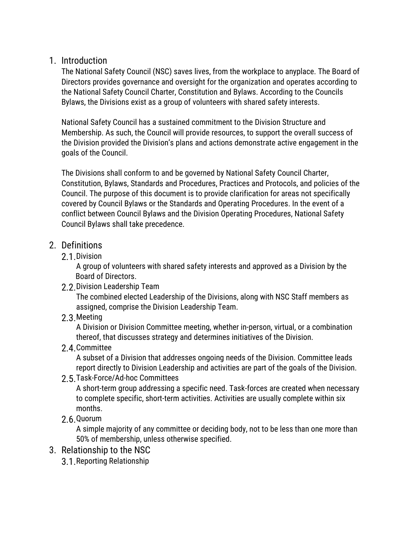### <span id="page-2-0"></span>1. Introduction

The National Safety Council (NSC) saves lives, from the workplace to anyplace. The Board of Directors provides governance and oversight for the organization and operates according to the National Safety Council Charter, Constitution and Bylaws. According to the Councils Bylaws, the Divisions exist as a group of volunteers with shared safety interests.

National Safety Council has a sustained commitment to the Division Structure and Membership. As such, the Council will provide resources, to support the overall success of the Division provided the Division's plans and actions demonstrate active engagement in the goals of the Council.

The Divisions shall conform to and be governed by National Safety Council Charter, Constitution, Bylaws, Standards and Procedures, Practices and Protocols, and policies of the Council. The purpose of this document is to provide clarification for areas not specifically covered by Council Bylaws or the Standards and Operating Procedures. In the event of a conflict between Council Bylaws and the Division Operating Procedures, National Safety Council Bylaws shall take precedence.

## <span id="page-2-1"></span>2. Definitions

2.1.Division

A group of volunteers with shared safety interests and approved as a Division by the Board of Directors.

2.2.Division Leadership Team

The combined elected Leadership of the Divisions, along with NSC Staff members as assigned, comprise the Division Leadership Team.

2.3.Meeting

A Division or Division Committee meeting, whether in-person, virtual, or a combination thereof, that discusses strategy and determines initiatives of the Division.

2.4.Committee

A subset of a Division that addresses ongoing needs of the Division. Committee leads report directly to Division Leadership and activities are part of the goals of the Division.

2.5.Task-Force/Ad-hoc Committees

A short-term group addressing a specific need. Task-forces are created when necessary to complete specific, short-term activities. Activities are usually complete within six months.

2.6.Quorum

A simple majority of any committee or deciding body, not to be less than one more than 50% of membership, unless otherwise specified.

- <span id="page-2-3"></span><span id="page-2-2"></span>3. Relationship to the NSC
	- 3.1.Reporting Relationship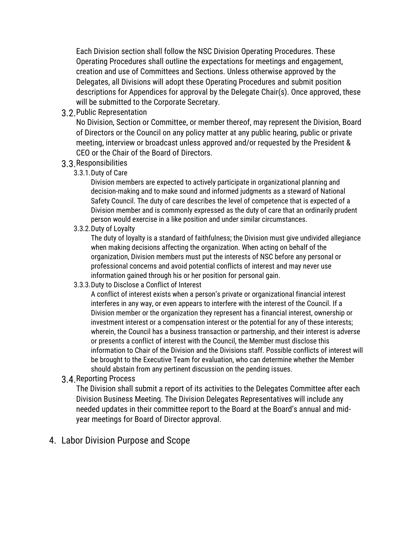Each Division section shall follow the NSC Division Operating Procedures. These Operating Procedures shall outline the expectations for meetings and engagement, creation and use of Committees and Sections. Unless otherwise approved by the Delegates, all Divisions will adopt these Operating Procedures and submit position descriptions for Appendices for approval by the Delegate Chair(s). Once approved, these will be submitted to the Corporate Secretary.

<span id="page-3-0"></span>3.2.Public Representation

No Division, Section or Committee, or member thereof, may represent the Division, Board of Directors or the Council on any policy matter at any public hearing, public or private meeting, interview or broadcast unless approved and/or requested by the President & CEO or the Chair of the Board of Directors.

- <span id="page-3-1"></span>3.3.Responsibilities
	- 3.3.1.Duty of Care

Division members are expected to actively participate in organizational planning and decision-making and to make sound and informed judgments as a steward of National Safety Council. The duty of care describes the level of competence that is expected of a Division member and is commonly expressed as the duty of care that an ordinarily prudent person would exercise in a like position and under similar circumstances.

3.3.2.Duty of Loyalty

The duty of loyalty is a standard of faithfulness; the Division must give undivided allegiance when making decisions affecting the organization. When acting on behalf of the organization, Division members must put the interests of NSC before any personal or professional concerns and avoid potential conflicts of interest and may never use information gained through his or her position for personal gain.

3.3.3.Duty to Disclose a Conflict of Interest

A conflict of interest exists when a person's private or organizational financial interest interferes in any way, or even appears to interfere with the interest of the Council. If a Division member or the organization they represent has a financial interest, ownership or investment interest or a compensation interest or the potential for any of these interests; wherein, the Council has a business transaction or partnership, and their interest is adverse or presents a conflict of interest with the Council, the Member must disclose this information to Chair of the Division and the Divisions staff. Possible conflicts of interest will be brought to the Executive Team for evaluation, who can determine whether the Member should abstain from any pertinent discussion on the pending issues.

<span id="page-3-2"></span>3.4.Reporting Process

The Division shall submit a report of its activities to the Delegates Committee after each Division Business Meeting. The Division Delegates Representatives will include any needed updates in their committee report to the Board at the Board's annual and midyear meetings for Board of Director approval.

#### <span id="page-3-3"></span>4. Labor Division Purpose and Scope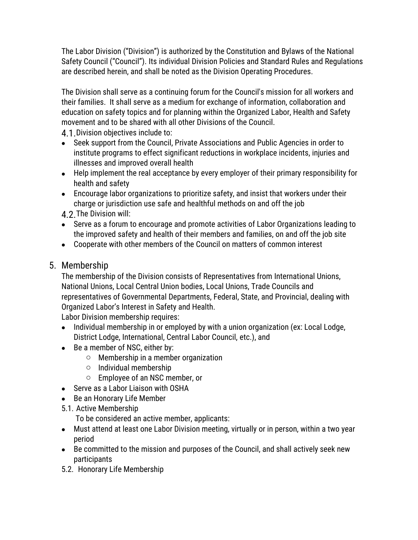The Labor Division ("Division") is authorized by the Constitution and Bylaws of the National Safety Council ("Council"). Its individual Division Policies and Standard Rules and Regulations are described herein, and shall be noted as the Division Operating Procedures.

The Division shall serve as a continuing forum for the Council's mission for all workers and their families. It shall serve as a medium for exchange of information, collaboration and education on safety topics and for planning within the Organized Labor, Health and Safety movement and to be shared with all other Divisions of the Council.

<span id="page-4-0"></span>4.1. Division objectives include to:

- Seek support from the Council, Private Associations and Public Agencies in order to institute programs to effect significant reductions in workplace incidents, injuries and illnesses and improved overall health
- Help implement the real acceptance by every employer of their primary responsibility for health and safety
- Encourage labor organizations to prioritize safety, and insist that workers under their charge or jurisdiction use safe and healthful methods on and off the job

4.2.The Division will:

- Serve as a forum to encourage and promote activities of Labor Organizations leading to the improved safety and health of their members and families, on and off the job site
- Cooperate with other members of the Council on matters of common interest

#### <span id="page-4-1"></span>5. Membership

The membership of the Division consists of Representatives from International Unions, National Unions, Local Central Union bodies, Local Unions, Trade Councils and representatives of Governmental Departments, Federal, State, and Provincial, dealing with Organized Labor's Interest in Safety and Health.

Labor Division membership requires:

- Individual membership in or employed by with a union organization (ex: Local Lodge, District Lodge, International, Central Labor Council, etc.), and
- Be a member of NSC, either by:
	- $\circ$  Membership in a member organization
	- o Individual membership
	- o Employee of an NSC member, or
- Serve as a Labor Liaison with OSHA
- Be an Honorary Life Member
- 5.1. Active Membership

To be considered an active member, applicants:

- Must attend at least one Labor Division meeting, virtually or in person, within a two year period
- Be committed to the mission and purposes of the Council, and shall actively seek new participants
- 5.2. Honorary Life Membership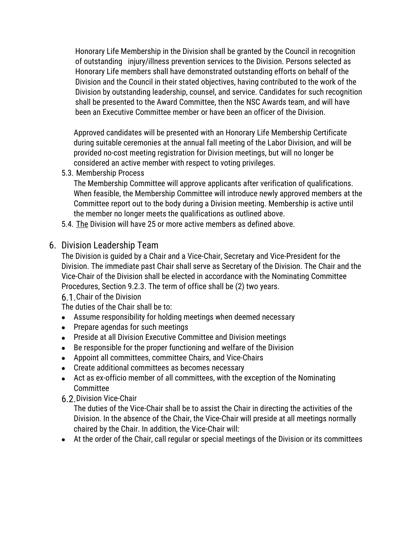Honorary Life Membership in the Division shall be granted by the Council in recognition of outstanding injury/illness prevention services to the Division. Persons selected as Honorary Life members shall have demonstrated outstanding efforts on behalf of the Division and the Council in their stated objectives, having contributed to the work of the Division by outstanding leadership, counsel, and service. Candidates for such recognition shall be presented to the Award Committee, then the NSC Awards team, and will have been an Executive Committee member or have been an officer of the Division.

Approved candidates will be presented with an Honorary Life Membership Certificate during suitable ceremonies at the annual fall meeting of the Labor Division, and will be provided no-cost meeting registration for Division meetings, but will no longer be considered an active member with respect to voting privileges.

5.3. Membership Process

The Membership Committee will approve applicants after verification of qualifications. When feasible, the Membership Committee will introduce newly approved members at the Committee report out to the body during a Division meeting. Membership is active until the member no longer meets the qualifications as outlined above.

- 5.4. The Division will have 25 or more active members as defined above.
- <span id="page-5-0"></span>6. Division Leadership Team

The Division is guided by a Chair and a Vice-Chair, Secretary and Vice-President for the Division. The immediate past Chair shall serve as Secretary of the Division. The Chair and the Vice-Chair of the Division shall be elected in accordance with the Nominating Committee Procedures, Section 9.2.3. The term of office shall be (2) two years.

6.1.Chair of the Division

The duties of the Chair shall be to:

- Assume responsibility for holding meetings when deemed necessary
- Prepare agendas for such meetings
- Preside at all Division Executive Committee and Division meetings
- Be responsible for the proper functioning and welfare of the Division
- Appoint all committees, committee Chairs, and Vice-Chairs
- Create additional committees as becomes necessary
- Act as ex-officio member of all committees, with the exception of the Nominating Committee

6.2.Division Vice-Chair

The duties of the Vice-Chair shall be to assist the Chair in directing the activities of the Division. In the absence of the Chair, the Vice-Chair will preside at all meetings normally chaired by the Chair. In addition, the Vice-Chair will:

At the order of the Chair, call regular or special meetings of the Division or its committees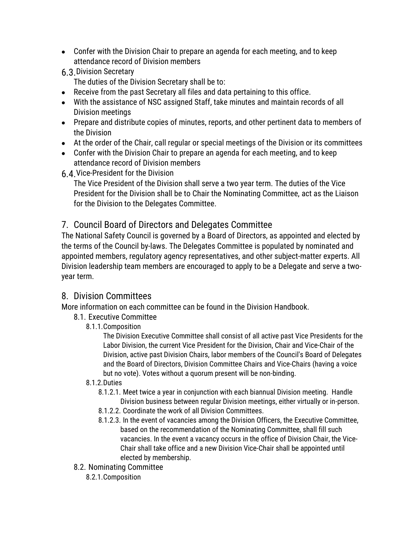- Confer with the Division Chair to prepare an agenda for each meeting, and to keep attendance record of Division members
- 6.3.Division Secretary

The duties of the Division Secretary shall be to:

- Receive from the past Secretary all files and data pertaining to this office.
- With the assistance of NSC assigned Staff, take minutes and maintain records of all Division meetings
- Prepare and distribute copies of minutes, reports, and other pertinent data to members of the Division
- At the order of the Chair, call regular or special meetings of the Division or its committees
- Confer with the Division Chair to prepare an agenda for each meeting, and to keep attendance record of Division members
- 6.4.Vice-President for the Division

The Vice President of the Division shall serve a two year term. The duties of the Vice President for the Division shall be to Chair the Nominating Committee, act as the Liaison for the Division to the Delegates Committee.

## 7. Council Board of Directors and Delegates Committee

The National Safety Council is governed by a Board of Directors, as appointed and elected by the terms of the Council by-laws. The Delegates Committee is populated by nominated and appointed members, regulatory agency representatives, and other subject-matter experts. All Division leadership team members are encouraged to apply to be a Delegate and serve a twoyear term.

## <span id="page-6-0"></span>8. Division Committees

More information on each committee can be found in the Division Handbook.

- 8.1. Executive Committee
	- 8.1.1.Composition

The Division Executive Committee shall consist of all active past Vice Presidents for the Labor Division, the current Vice President for the Division, Chair and Vice-Chair of the Division, active past Division Chairs, labor members of the Council's Board of Delegates and the Board of Directors, Division Committee Chairs and Vice-Chairs (having a voice but no vote). Votes without a quorum present will be non-binding.

#### 8.1.2.Duties

- 8.1.2.1. Meet twice a year in conjunction with each biannual Division meeting. Handle Division business between regular Division meetings, either virtually or in-person.
- 8.1.2.2. Coordinate the work of all Division Committees.
- 8.1.2.3. In the event of vacancies among the Division Officers, the Executive Committee, based on the recommendation of the Nominating Committee, shall fill such vacancies. In the event a vacancy occurs in the office of Division Chair, the Vice-Chair shall take office and a new Division Vice-Chair shall be appointed until elected by membership.
- 8.2. Nominating Committee
	- 8.2.1.Composition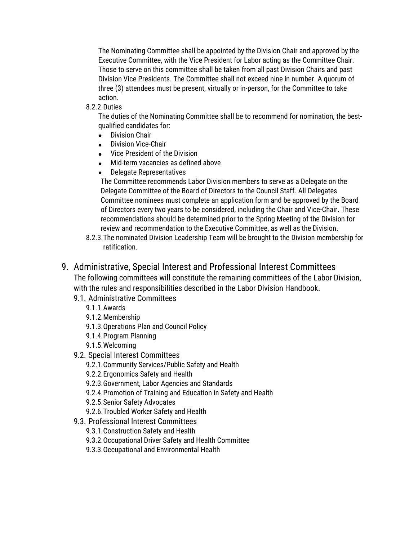The Nominating Committee shall be appointed by the Division Chair and approved by the Executive Committee, with the Vice President for Labor acting as the Committee Chair. Those to serve on this committee shall be taken from all past Division Chairs and past Division Vice Presidents. The Committee shall not exceed nine in number. A quorum of three (3) attendees must be present, virtually or in-person, for the Committee to take action.

8.2.2.Duties

The duties of the Nominating Committee shall be to recommend for nomination, the bestqualified candidates for:

- Division Chair
- Division Vice-Chair
- Vice President of the Division
- Mid-term vacancies as defined above
- Delegate Representatives

The Committee recommends Labor Division members to serve as a Delegate on the Delegate Committee of the Board of Directors to the Council Staff. All Delegates Committee nominees must complete an application form and be approved by the Board of Directors every two years to be considered, including the Chair and Vice-Chair. These recommendations should be determined prior to the Spring Meeting of the Division for review and recommendation to the Executive Committee, as well as the Division.

8.2.3.The nominated Division Leadership Team will be brought to the Division membership for ratification.

#### 9. Administrative, Special Interest and Professional Interest Committees

The following committees will constitute the remaining committees of the Labor Division, with the rules and responsibilities described in the Labor Division Handbook.

- 9.1. Administrative Committees
	- 9.1.1.Awards
	- 9.1.2.Membership
	- 9.1.3.Operations Plan and Council Policy
	- 9.1.4.Program Planning
	- 9.1.5.Welcoming
- 9.2. Special Interest Committees
	- 9.2.1.Community Services/Public Safety and Health
	- 9.2.2.Ergonomics Safety and Health
	- 9.2.3.Government, Labor Agencies and Standards
	- 9.2.4.Promotion of Training and Education in Safety and Health
	- 9.2.5.Senior Safety Advocates
	- 9.2.6.Troubled Worker Safety and Health
- 9.3. Professional Interest Committees
	- 9.3.1.Construction Safety and Health
	- 9.3.2.Occupational Driver Safety and Health Committee
	- 9.3.3.Occupational and Environmental Health